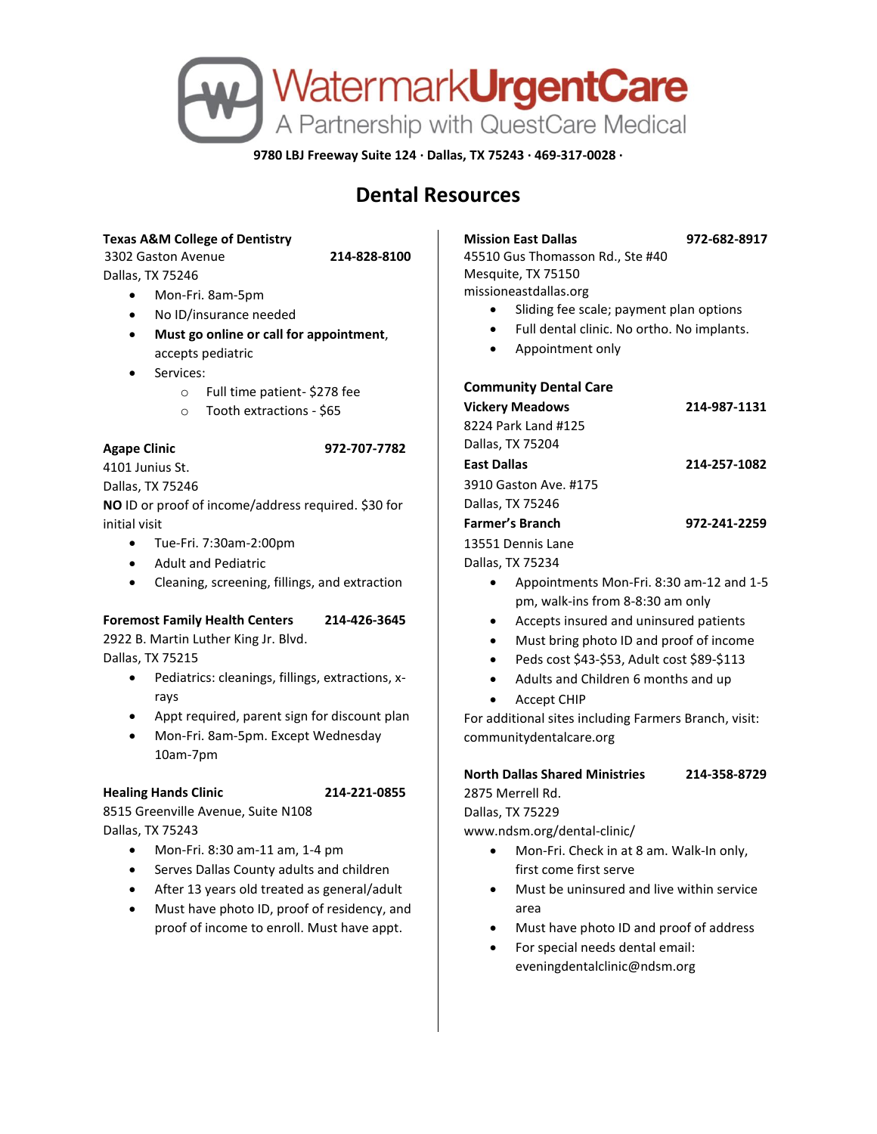

**9780 LBJ Freeway Suite 124 · Dallas, TX 75243 · 469-317-0028 ·**

# **Dental Resources**

## **Texas A&M College of Dentistry**

3302 Gaston Avenue **214-828-8100**

- Dallas, TX 75246
	- Mon-Fri. 8am-5pm
	- No ID/insurance needed
	- **Must go online or call for appointment**, accepts pediatric
	- Services:
		- o Full time patient- \$278 fee
		- o Tooth extractions \$65

## **Agape Clinic 972-707-7782**

4101 Junius St. Dallas, TX 75246

**NO** ID or proof of income/address required. \$30 for initial visit

- Tue-Fri. 7:30am-2:00pm
- Adult and Pediatric
- Cleaning, screening, fillings, and extraction

# **Foremost Family Health Centers 214-426-3645**

2922 B. Martin Luther King Jr. Blvd. Dallas, TX 75215

- Pediatrics: cleanings, fillings, extractions, xrays
- Appt required, parent sign for discount plan
- Mon-Fri. 8am-5pm. Except Wednesday 10am-7pm

### **Healing Hands Clinic 214-221-0855**

8515 Greenville Avenue, Suite N108 Dallas, TX 75243

- Mon-Fri. 8:30 am-11 am, 1-4 pm
- Serves Dallas County adults and children
- After 13 years old treated as general/adult
- Must have photo ID, proof of residency, and proof of income to enroll. Must have appt.

**Mission East Dallas 972-682-8917**

45510 Gus Thomasson Rd., Ste #40 Mesquite, TX 75150 missioneastdallas.org

- Sliding fee scale; payment plan options
- Full dental clinic. No ortho. No implants.
- Appointment only

### **Community Dental Care**

| <b>Vickery Meadows</b> | 214-987-1131 |
|------------------------|--------------|
| 8224 Park Land #125    |              |
| Dallas, TX 75204       |              |
| East Dallas            | 214-257-1082 |
| 3910 Gaston Ave. #175  |              |
| Dallas, TX 75246       |              |
| Farmer's Branch        | 972-241-2259 |
| 13551 Dennis Lane      |              |
| Dallas, TX 75234       |              |

- Appointments Mon-Fri. 8:30 am-12 and 1-5 pm, walk-ins from 8-8:30 am only
- Accepts insured and uninsured patients
- Must bring photo ID and proof of income
- Peds cost \$43-\$53, Adult cost \$89-\$113
- Adults and Children 6 months and up
- Accept CHIP

For additional sites including Farmers Branch, visit: communitydentalcare.org

#### **North Dallas Shared Ministries 214-358-8729** 2875 Merrell Rd.

Dallas, TX 75229

www.ndsm.org/dental-clinic/

- Mon-Fri. Check in at 8 am. Walk-In only, first come first serve
- Must be uninsured and live within service area
- Must have photo ID and proof of address
- For special needs dental email: eveningdentalclinic@ndsm.org